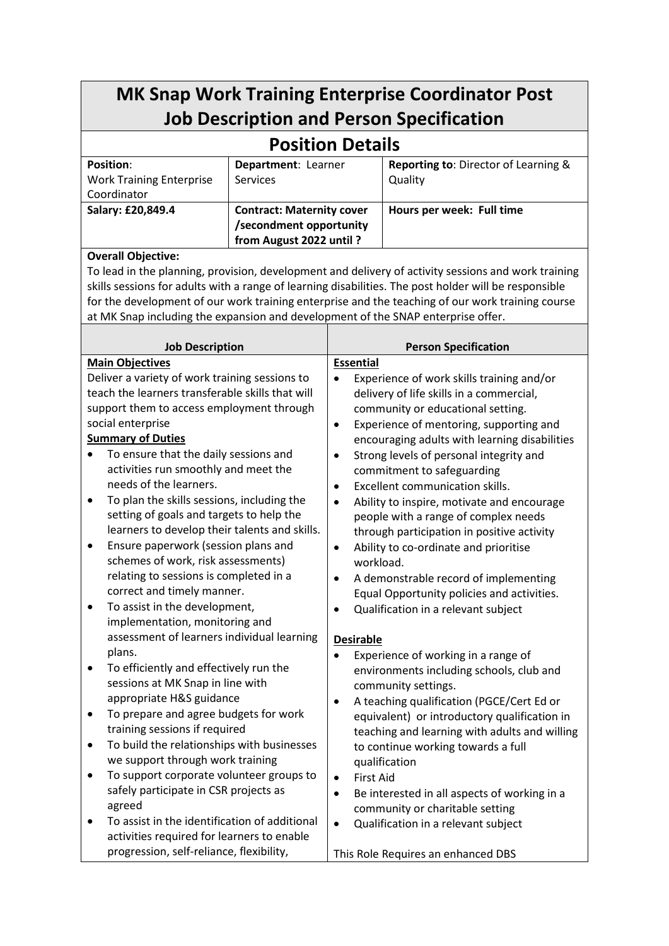## **MK Snap Work Training Enterprise Coordinator Post Job Description and Person Specification**

## **Position Details**

| <b>Position:</b>                | Department: Learner              | <b>Reporting to: Director of Learning &amp;</b> |
|---------------------------------|----------------------------------|-------------------------------------------------|
| <b>Work Training Enterprise</b> | <b>Services</b>                  | Quality                                         |
| Coordinator                     |                                  |                                                 |
| Salary: £20,849.4               | <b>Contract: Maternity cover</b> | Hours per week: Full time                       |
|                                 | /secondment opportunity          |                                                 |
|                                 | from August 2022 until ?         |                                                 |

## **Overall Objective:**

To lead in the planning, provision, development and delivery of activity sessions and work training skills sessions for adults with a range of learning disabilities. The post holder will be responsible for the development of our work training enterprise and the teaching of our work training course at MK Snap including the expansion and development of the SNAP enterprise offer.

| <b>Job Description</b>                                  | <b>Person Specification</b>                               |  |  |
|---------------------------------------------------------|-----------------------------------------------------------|--|--|
| <b>Main Objectives</b>                                  | <b>Essential</b>                                          |  |  |
| Deliver a variety of work training sessions to          | Experience of work skills training and/or<br>$\bullet$    |  |  |
| teach the learners transferable skills that will        | delivery of life skills in a commercial,                  |  |  |
| support them to access employment through               | community or educational setting.                         |  |  |
| social enterprise                                       | Experience of mentoring, supporting and<br>$\bullet$      |  |  |
| <b>Summary of Duties</b>                                | encouraging adults with learning disabilities             |  |  |
| To ensure that the daily sessions and                   | Strong levels of personal integrity and<br>$\bullet$      |  |  |
| activities run smoothly and meet the                    | commitment to safeguarding                                |  |  |
| needs of the learners.                                  | <b>Excellent communication skills.</b><br>$\bullet$       |  |  |
| To plan the skills sessions, including the<br>٠         | Ability to inspire, motivate and encourage<br>$\bullet$   |  |  |
| setting of goals and targets to help the                | people with a range of complex needs                      |  |  |
| learners to develop their talents and skills.           | through participation in positive activity                |  |  |
| Ensure paperwork (session plans and<br>$\bullet$        | Ability to co-ordinate and prioritise<br>$\bullet$        |  |  |
| schemes of work, risk assessments)                      | workload.                                                 |  |  |
| relating to sessions is completed in a                  | A demonstrable record of implementing<br>$\bullet$        |  |  |
| correct and timely manner.                              | Equal Opportunity policies and activities.                |  |  |
| To assist in the development,<br>$\bullet$              | Qualification in a relevant subject<br>$\bullet$          |  |  |
| implementation, monitoring and                          |                                                           |  |  |
| assessment of learners individual learning              | <b>Desirable</b>                                          |  |  |
| plans.                                                  | Experience of working in a range of<br>$\bullet$          |  |  |
| To efficiently and effectively run the<br>$\bullet$     | environments including schools, club and                  |  |  |
| sessions at MK Snap in line with                        | community settings.                                       |  |  |
| appropriate H&S guidance                                | A teaching qualification (PGCE/Cert Ed or<br>$\bullet$    |  |  |
| To prepare and agree budgets for work<br>٠              | equivalent) or introductory qualification in              |  |  |
| training sessions if required                           | teaching and learning with adults and willing             |  |  |
| To build the relationships with businesses<br>$\bullet$ | to continue working towards a full                        |  |  |
| we support through work training                        | qualification                                             |  |  |
| To support corporate volunteer groups to<br>$\bullet$   | <b>First Aid</b><br>$\bullet$                             |  |  |
| safely participate in CSR projects as                   | Be interested in all aspects of working in a<br>$\bullet$ |  |  |
| agreed<br>To assist in the identification of additional | community or charitable setting                           |  |  |
| $\bullet$<br>activities required for learners to enable | Qualification in a relevant subject<br>$\bullet$          |  |  |
| progression, self-reliance, flexibility,                |                                                           |  |  |
|                                                         | This Role Requires an enhanced DBS                        |  |  |